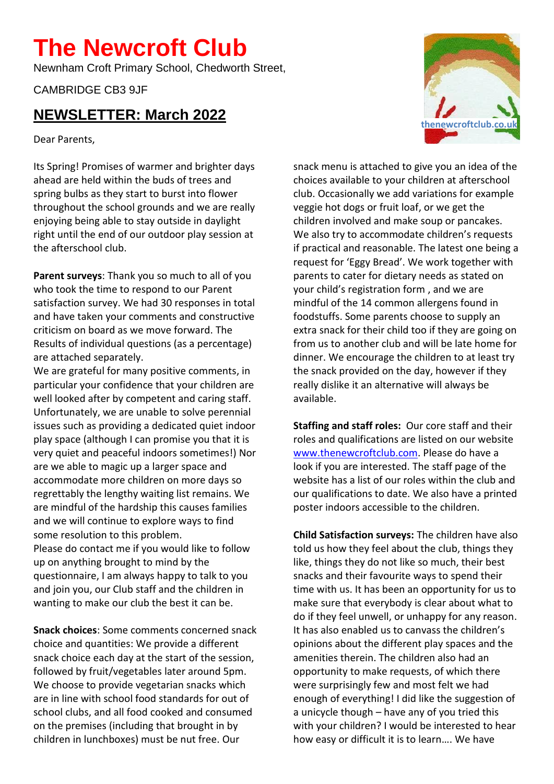## **The Newcroft Club**

Newnham Croft Primary School, Chedworth Street,

CAMBRIDGE CB3 9JF

## **NEWSLETTER: March 2022**

Dear Parents,

Its Spring! Promises of warmer and brighter days ahead are held within the buds of trees and spring bulbs as they start to burst into flower throughout the school grounds and we are really enjoying being able to stay outside in daylight right until the end of our outdoor play session at the afterschool club.

**Parent surveys**: Thank you so much to all of you who took the time to respond to our Parent satisfaction survey. We had 30 responses in total and have taken your comments and constructive criticism on board as we move forward. The Results of individual questions (as a percentage) are attached separately.

We are grateful for many positive comments, in particular your confidence that your children are well looked after by competent and caring staff. Unfortunately, we are unable to solve perennial issues such as providing a dedicated quiet indoor play space (although I can promise you that it is very quiet and peaceful indoors sometimes!) Nor are we able to magic up a larger space and accommodate more children on more days so regrettably the lengthy waiting list remains. We are mindful of the hardship this causes families and we will continue to explore ways to find some resolution to this problem. Please do contact me if you would like to follow up on anything brought to mind by the questionnaire, I am always happy to talk to you and join you, our Club staff and the children in wanting to make our club the best it can be.

**Snack choices**: Some comments concerned snack choice and quantities: We provide a different snack choice each day at the start of the session, followed by fruit/vegetables later around 5pm. We choose to provide vegetarian snacks which are in line with school food standards for out of school clubs, and all food cooked and consumed on the premises (including that brought in by children in lunchboxes) must be nut free. Our

snack menu is attached to give you an idea of the choices available to your children at afterschool club. Occasionally we add variations for example veggie hot dogs or fruit loaf, or we get the children involved and make soup or pancakes. We also try to accommodate children's requests if practical and reasonable. The latest one being a request for 'Eggy Bread'. We work together with parents to cater for dietary needs as stated on your child's registration form , and we are mindful of the 14 common allergens found in foodstuffs. Some parents choose to supply an extra snack for their child too if they are going on from us to another club and will be late home for dinner. We encourage the children to at least try the snack provided on the day, however if they really dislike it an alternative will always be available.

**Staffing and staff roles:** Our core staff and their roles and qualifications are listed on our website [www.thenewcroftclub.com.](http://www.thenewcroftclub.com/) Please do have a look if you are interested. The staff page of the website has a list of our roles within the club and our qualifications to date. We also have a printed poster indoors accessible to the children.

**Child Satisfaction surveys:** The children have also told us how they feel about the club, things they like, things they do not like so much, their best snacks and their favourite ways to spend their time with us. It has been an opportunity for us to make sure that everybody is clear about what to do if they feel unwell, or unhappy for any reason. It has also enabled us to canvass the children's opinions about the different play spaces and the amenities therein. The children also had an opportunity to make requests, of which there were surprisingly few and most felt we had enough of everything! I did like the suggestion of a unicycle though – have any of you tried this with your children? I would be interested to hear how easy or difficult it is to learn…. We have